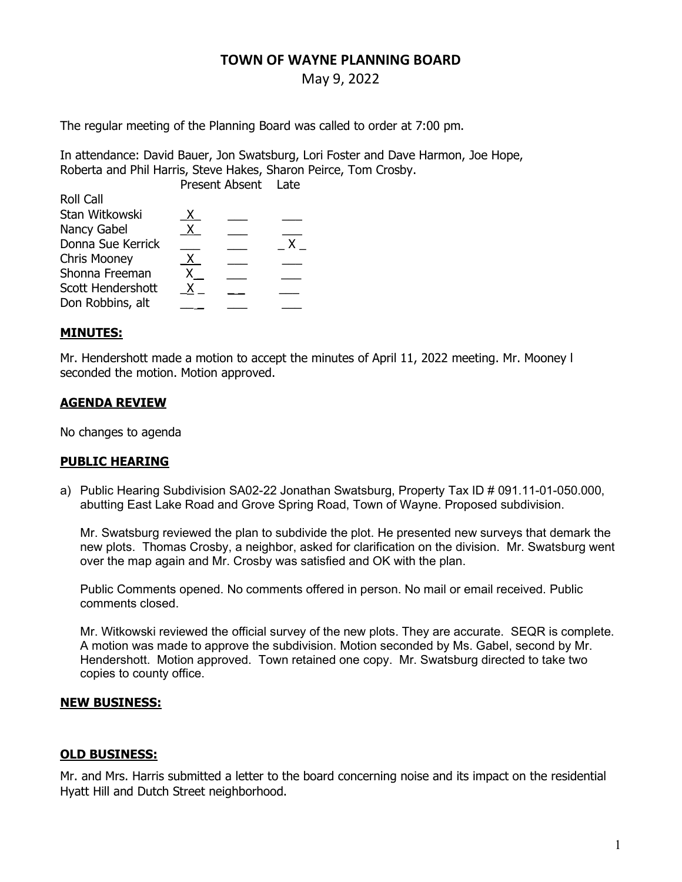# TOWN OF WAYNE PLANNING BOARD

# May 9, 2022

The regular meeting of the Planning Board was called to order at 7:00 pm.

In attendance: David Bauer, Jon Swatsburg, Lori Foster and Dave Harmon, Joe Hope, Roberta and Phil Harris, Steve Hakes, Sharon Peirce, Tom Crosby. Present Absent Late

|                     | PIESEIIL AUSEIIL |  | Late |
|---------------------|------------------|--|------|
| Roll Call           |                  |  |      |
| Stan Witkowski      | X.               |  |      |
| Nancy Gabel         | $X_{-}$          |  |      |
| Donna Sue Kerrick   |                  |  | x.   |
| <b>Chris Mooney</b> | Х.               |  |      |
| Shonna Freeman      |                  |  |      |
| Scott Hendershott   |                  |  |      |
| Don Robbins, alt    |                  |  |      |
|                     |                  |  |      |

### MINUTES:

Mr. Hendershott made a motion to accept the minutes of April 11, 2022 meeting. Mr. Mooney l seconded the motion. Motion approved.

### AGENDA REVIEW

No changes to agenda

### PUBLIC HEARING

a) Public Hearing Subdivision SA02-22 Jonathan Swatsburg, Property Tax ID # 091.11-01-050.000, abutting East Lake Road and Grove Spring Road, Town of Wayne. Proposed subdivision.

Mr. Swatsburg reviewed the plan to subdivide the plot. He presented new surveys that demark the new plots. Thomas Crosby, a neighbor, asked for clarification on the division. Mr. Swatsburg went over the map again and Mr. Crosby was satisfied and OK with the plan.

Public Comments opened. No comments offered in person. No mail or email received. Public comments closed.

Mr. Witkowski reviewed the official survey of the new plots. They are accurate. SEQR is complete. A motion was made to approve the subdivision. Motion seconded by Ms. Gabel, second by Mr. Hendershott. Motion approved. Town retained one copy. Mr. Swatsburg directed to take two copies to county office.

### NEW BUSINESS:

### OLD BUSINESS:

Mr. and Mrs. Harris submitted a letter to the board concerning noise and its impact on the residential Hyatt Hill and Dutch Street neighborhood.